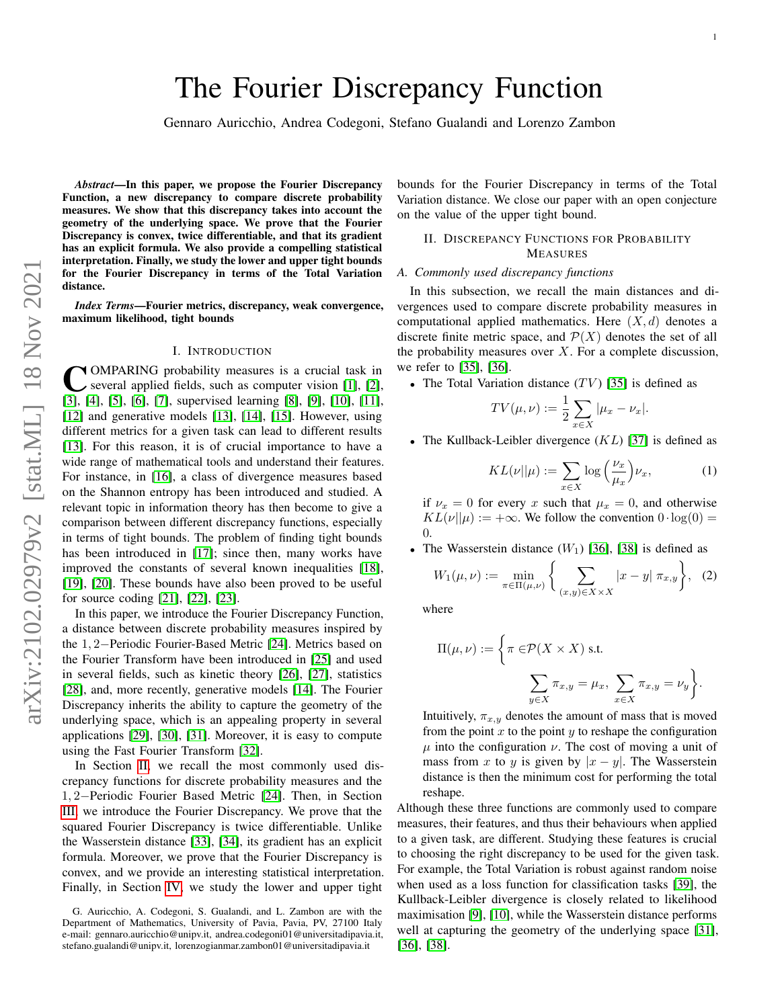Gennaro Auricchio, Andrea Codegoni, Stefano Gualandi and Lorenzo Zambon

*Abstract*—In this paper, we propose the Fourier Discrepancy Function, a new discrepancy to compare discrete probability measures. We show that this discrepancy takes into account the geometry of the underlying space. We prove that the Fourier Discrepancy is convex, twice differentiable, and that its gradient has an explicit formula. We also provide a compelling statistical interpretation. Finally, we study the lower and upper tight bounds for the Fourier Discrepancy in terms of the Total Variation distance.

*Index Terms*—Fourier metrics, discrepancy, weak convergence, maximum likelihood, tight bounds

#### I. INTRODUCTION

COMPARING probability measures is a crucial task in several applied fields, such as computer vision [1], [2], [\[3\]](#page-5-2), [\[4\]](#page-5-3), [\[5\]](#page-5-4), [\[6\]](#page-5-5), [\[7\]](#page-5-6), supervised learning [\[8\]](#page-5-7), [\[9\]](#page-5-8), [\[10\]](#page-5-9), [\[11\]](#page-6-0), OMPARING probability measures is a crucial task in several applied fields, such as computer vision [\[1\]](#page-5-0), [\[2\]](#page-5-1), [\[12\]](#page-6-1) and generative models [\[13\]](#page-6-2), [\[14\]](#page-6-3), [\[15\]](#page-6-4). However, using different metrics for a given task can lead to different results [\[13\]](#page-6-2). For this reason, it is of crucial importance to have a wide range of mathematical tools and understand their features. For instance, in [\[16\]](#page-6-5), a class of divergence measures based on the Shannon entropy has been introduced and studied. A relevant topic in information theory has then become to give a comparison between different discrepancy functions, especially in terms of tight bounds. The problem of finding tight bounds has been introduced in [\[17\]](#page-6-6); since then, many works have improved the constants of several known inequalities [\[18\]](#page-6-7), [\[19\]](#page-6-8), [\[20\]](#page-6-9). These bounds have also been proved to be useful for source coding [\[21\]](#page-6-10), [\[22\]](#page-6-11), [\[23\]](#page-6-12).

In this paper, we introduce the Fourier Discrepancy Function, a distance between discrete probability measures inspired by the 1, 2−Periodic Fourier-Based Metric [\[24\]](#page-6-13). Metrics based on the Fourier Transform have been introduced in [\[25\]](#page-6-14) and used in several fields, such as kinetic theory [\[26\]](#page-6-15), [\[27\]](#page-6-16), statistics [\[28\]](#page-6-17), and, more recently, generative models [\[14\]](#page-6-3). The Fourier Discrepancy inherits the ability to capture the geometry of the underlying space, which is an appealing property in several applications [\[29\]](#page-6-18), [\[30\]](#page-6-19), [\[31\]](#page-6-20). Moreover, it is easy to compute using the Fast Fourier Transform [\[32\]](#page-6-21).

In Section [II,](#page-0-0) we recall the most commonly used discrepancy functions for discrete probability measures and the 1, 2−Periodic Fourier Based Metric [\[24\]](#page-6-13). Then, in Section [III,](#page-1-0) we introduce the Fourier Discrepancy. We prove that the squared Fourier Discrepancy is twice differentiable. Unlike the Wasserstein distance [\[33\]](#page-6-22), [\[34\]](#page-6-23), its gradient has an explicit formula. Moreover, we prove that the Fourier Discrepancy is convex, and we provide an interesting statistical interpretation. Finally, in Section [IV,](#page-3-0) we study the lower and upper tight

bounds for the Fourier Discrepancy in terms of the Total Variation distance. We close our paper with an open conjecture on the value of the upper tight bound.

## <span id="page-0-0"></span>II. DISCREPANCY FUNCTIONS FOR PROBABILITY MEASURES

### *A. Commonly used discrepancy functions*

In this subsection, we recall the main distances and divergences used to compare discrete probability measures in computational applied mathematics. Here  $(X, d)$  denotes a discrete finite metric space, and  $\mathcal{P}(X)$  denotes the set of all the probability measures over  $X$ . For a complete discussion, we refer to [\[35\]](#page-6-24), [\[36\]](#page-6-25).

• The Total Variation distance  $(TV)$  [\[35\]](#page-6-24) is defined as

$$
TV(\mu, \nu) := \frac{1}{2} \sum_{x \in X} |\mu_x - \nu_x|.
$$

• The Kullback-Leibler divergence  $(KL)$  [\[37\]](#page-6-26) is defined as

$$
KL(\nu||\mu) := \sum_{x \in X} \log\left(\frac{\nu_x}{\mu_x}\right) \nu_x,\tag{1}
$$

if  $\nu_x = 0$  for every x such that  $\mu_x = 0$ , and otherwise  $KL(\nu||\mu) := +\infty$ . We follow the convention  $0 \cdot \log(0) =$  $\Omega$ .

• The Wasserstein distance  $(W_1)$  [\[36\]](#page-6-25), [\[38\]](#page-6-27) is defined as

$$
W_1(\mu, \nu) := \min_{\pi \in \Pi(\mu, \nu)} \left\{ \sum_{(x,y) \in X \times X} |x - y| \, \pi_{x,y} \right\}, \tag{2}
$$

where

$$
\Pi(\mu, \nu) := \left\{ \pi \in \mathcal{P}(X \times X) \text{ s.t. } \right\}
$$

$$
\sum_{y \in X} \pi_{x,y} = \mu_x, \sum_{x \in X} \pi_{x,y} = \nu_y \right\}
$$

.

Intuitively,  $\pi_{x,y}$  denotes the amount of mass that is moved from the point  $x$  to the point  $y$  to reshape the configuration  $\mu$  into the configuration  $\nu$ . The cost of moving a unit of mass from x to y is given by  $|x - y|$ . The Wasserstein distance is then the minimum cost for performing the total reshape.

Although these three functions are commonly used to compare measures, their features, and thus their behaviours when applied to a given task, are different. Studying these features is crucial to choosing the right discrepancy to be used for the given task. For example, the Total Variation is robust against random noise when used as a loss function for classification tasks [\[39\]](#page-6-28), the Kullback-Leibler divergence is closely related to likelihood maximisation [\[9\]](#page-5-8), [\[10\]](#page-5-9), while the Wasserstein distance performs well at capturing the geometry of the underlying space [\[31\]](#page-6-20), [\[36\]](#page-6-25), [\[38\]](#page-6-27).

G. Auricchio, A. Codegoni, S. Gualandi, and L. Zambon are with the Department of Mathematics, University of Pavia, Pavia, PV, 27100 Italy e-mail: gennaro.auricchio@unipv.it, andrea.codegoni01@universitadipavia.it, stefano.gualandi@unipv.it, lorenzogianmar.zambon01@universitadipavia.it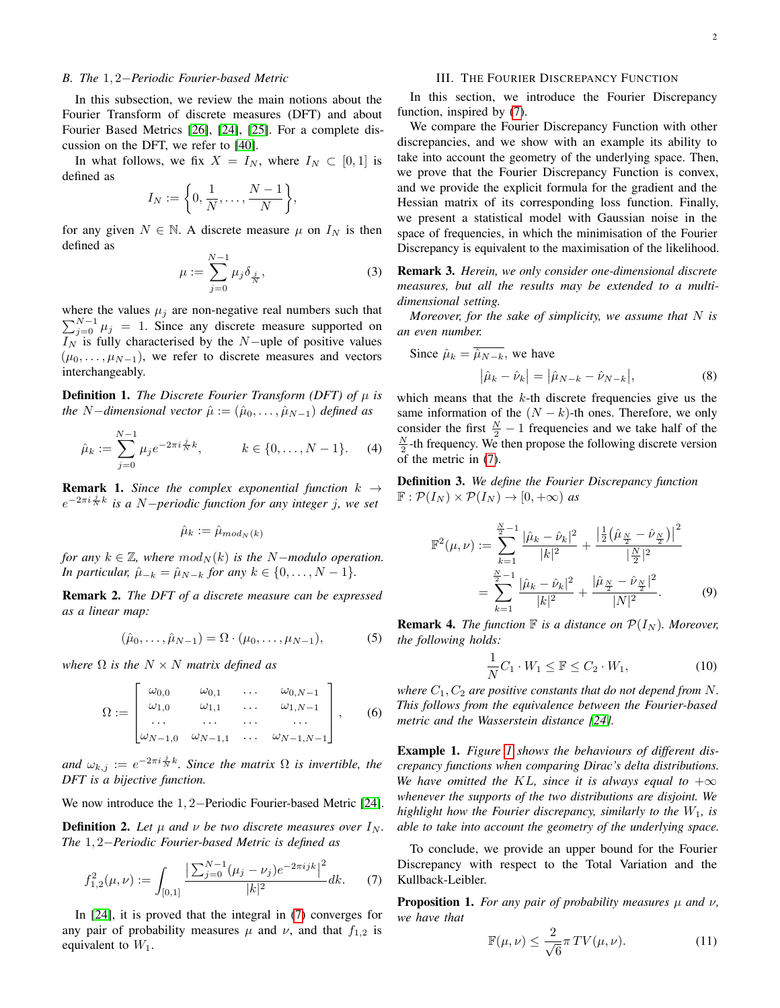## *B. The* 1, 2−*Periodic Fourier-based Metric*

In this subsection, we review the main notions about the Fourier Transform of discrete measures (DFT) and about Fourier Based Metrics [\[26\]](#page-6-15), [\[24\]](#page-6-13), [\[25\]](#page-6-14). For a complete discussion on the DFT, we refer to [\[40\]](#page-6-29).

In what follows, we fix  $X = I_N$ , where  $I_N \subset [0, 1]$  is defined as

$$
I_N := \left\{0, \frac{1}{N}, \dots, \frac{N-1}{N}\right\},\
$$

for any given  $N \in \mathbb{N}$ . A discrete measure  $\mu$  on  $I_N$  is then defined as

$$
\mu := \sum_{j=0}^{N-1} \mu_j \delta_{\frac{j}{N}}, \tag{3}
$$

where the values  $\mu_j$  are non-negative real numbers such that  $\sum_{j=0}^{N-1} \mu_j = 1$ . Since any discrete measure supported on  $I_N$  is fully characterised by the N−uple of positive values  $(\mu_0, \ldots, \mu_{N-1})$ , we refer to discrete measures and vectors interchangeably.

**Definition 1.** *The Discrete Fourier Transform (DFT) of*  $\mu$  *is the* N−*dimensional vector*  $\hat{\mu} := (\hat{\mu}_0, \dots, \hat{\mu}_{N-1})$  *defined as* 

$$
\hat{\mu}_k := \sum_{j=0}^{N-1} \mu_j e^{-2\pi i \frac{j}{N} k}, \qquad k \in \{0, \dots, N-1\}.
$$
 (4)

**Remark 1.** *Since the complex exponential function*  $k \rightarrow$ e −2πi <sup>j</sup> <sup>N</sup> k *is a* N−*periodic function for any integer* j*, we set*

$$
\hat{\mu}_k := \hat{\mu}_{mod_N(k)}
$$

*for any*  $k \in \mathbb{Z}$ *, where*  $mod_N(k)$  *is the N*-*modulo operation. In particular,*  $\hat{\mu}_{-k} = \hat{\mu}_{N-k}$  *for any*  $k \in \{0, ..., N - 1\}$ *.* 

Remark 2. *The DFT of a discrete measure can be expressed as a linear map:*

$$
(\hat{\mu}_0, \dots, \hat{\mu}_{N-1}) = \Omega \cdot (\mu_0, \dots, \mu_{N-1}),
$$
 (5)

*where*  $\Omega$  *is the*  $N \times N$  *matrix defined as* 

$$
\Omega := \begin{bmatrix} \omega_{0,0} & \omega_{0,1} & \dots & \omega_{0,N-1} \\ \omega_{1,0} & \omega_{1,1} & \dots & \omega_{1,N-1} \\ \dots & \dots & \dots & \dots \\ \omega_{N-1,0} & \omega_{N-1,1} & \dots & \omega_{N-1,N-1} \end{bmatrix}, \quad (6)
$$

and  $\omega_{k,j} := e^{-2\pi i \frac{j}{N}k}$ . Since the matrix  $\Omega$  is invertible, the *DFT is a bijective function.*

We now introduce the 1, 2−Periodic Fourier-based Metric [\[24\]](#page-6-13).

**Definition 2.** Let  $\mu$  and  $\nu$  be two discrete measures over  $I_N$ . *The* 1, 2−*Periodic Fourier-based Metric is defined as*

$$
f_{1,2}^2(\mu,\nu) := \int_{[0,1]} \frac{\left|\sum_{j=0}^{N-1} (\mu_j - \nu_j) e^{-2\pi i j k}\right|^2}{|k|^2} dk. \tag{7}
$$

In [\[24\]](#page-6-13), it is proved that the integral in [\(7\)](#page-1-1) converges for any pair of probability measures  $\mu$  and  $\nu$ , and that  $f_{1,2}$  is equivalent to  $W_1$ .

## III. THE FOURIER DISCREPANCY FUNCTION

<span id="page-1-0"></span>In this section, we introduce the Fourier Discrepancy function, inspired by [\(7\)](#page-1-1).

We compare the Fourier Discrepancy Function with other discrepancies, and we show with an example its ability to take into account the geometry of the underlying space. Then, we prove that the Fourier Discrepancy Function is convex, and we provide the explicit formula for the gradient and the Hessian matrix of its corresponding loss function. Finally, we present a statistical model with Gaussian noise in the space of frequencies, in which the minimisation of the Fourier Discrepancy is equivalent to the maximisation of the likelihood.

Remark 3. *Herein, we only consider one-dimensional discrete measures, but all the results may be extended to a multidimensional setting.*

*Moreover, for the sake of simplicity, we assume that* N *is an even number.*

Since 
$$
\hat{\mu}_k = \hat{\mu}_{N-k}
$$
, we have  
\n
$$
|\hat{\mu}_k - \hat{\nu}_k| = |\hat{\mu}_{N-k} - \hat{\nu}_{N-k}|,
$$
\n(b) Find the mass that the *k*th discrete frequencies, give us the

which means that the  $k$ -th discrete frequencies give us the same information of the  $(N - k)$ -th ones. Therefore, we only consider the first  $\frac{N}{2} - 1$  frequencies and we take half of the  $\frac{N}{2}$ -th frequency. We then propose the following discrete version of the metric in [\(7\)](#page-1-1).

Definition 3. *We define the Fourier Discrepancy function*  $\mathbb{F}: \mathcal{P}(I_N) \times \mathcal{P}(I_N) \to [0, +\infty)$  as

$$
\mathbb{F}^{2}(\mu,\nu) := \sum_{k=1}^{\frac{N}{2}-1} \frac{|\hat{\mu}_{k} - \hat{\nu}_{k}|^{2}}{|k|^{2}} + \frac{\left|\frac{1}{2}(\hat{\mu}_{\frac{N}{2}} - \hat{\nu}_{\frac{N}{2}})\right|^{2}}{|\frac{N}{2}|^{2}}
$$

$$
= \sum_{k=1}^{\frac{N}{2}-1} \frac{|\hat{\mu}_{k} - \hat{\nu}_{k}|^{2}}{|k|^{2}} + \frac{|\hat{\mu}_{\frac{N}{2}} - \hat{\nu}_{\frac{N}{2}}|^{2}}{|N|^{2}}.
$$
(9)

<span id="page-1-2"></span>**Remark 4.** *The function*  $\mathbb F$  *is a distance on*  $\mathcal P(I_N)$ *. Moreover, the following holds:*

$$
\frac{1}{N}C_1 \cdot W_1 \le \mathbb{F} \le C_2 \cdot W_1,\tag{10}
$$

*where*  $C_1$ ,  $C_2$  *are positive constants that do not depend from* N. *This follows from the equivalence between the Fourier-based metric and the Wasserstein distance [\[24\]](#page-6-13).*

Example 1. *Figure [1](#page-2-0) shows the behaviours of different discrepancy functions when comparing Dirac's delta distributions. We have omitted the KL, since it is always equal to*  $+\infty$ *whenever the supports of the two distributions are disjoint. We highlight how the Fourier discrepancy, similarly to the*  $W_1$ *, is able to take into account the geometry of the underlying space.*

<span id="page-1-1"></span>To conclude, we provide an upper bound for the Fourier Discrepancy with respect to the Total Variation and the Kullback-Leibler.

<span id="page-1-3"></span>**Proposition 1.** *For any pair of probability measures*  $\mu$  *and*  $\nu$ *, we have that*

$$
\mathbb{F}(\mu,\nu) \le \frac{2}{\sqrt{6}} \pi \, TV(\mu,\nu). \tag{11}
$$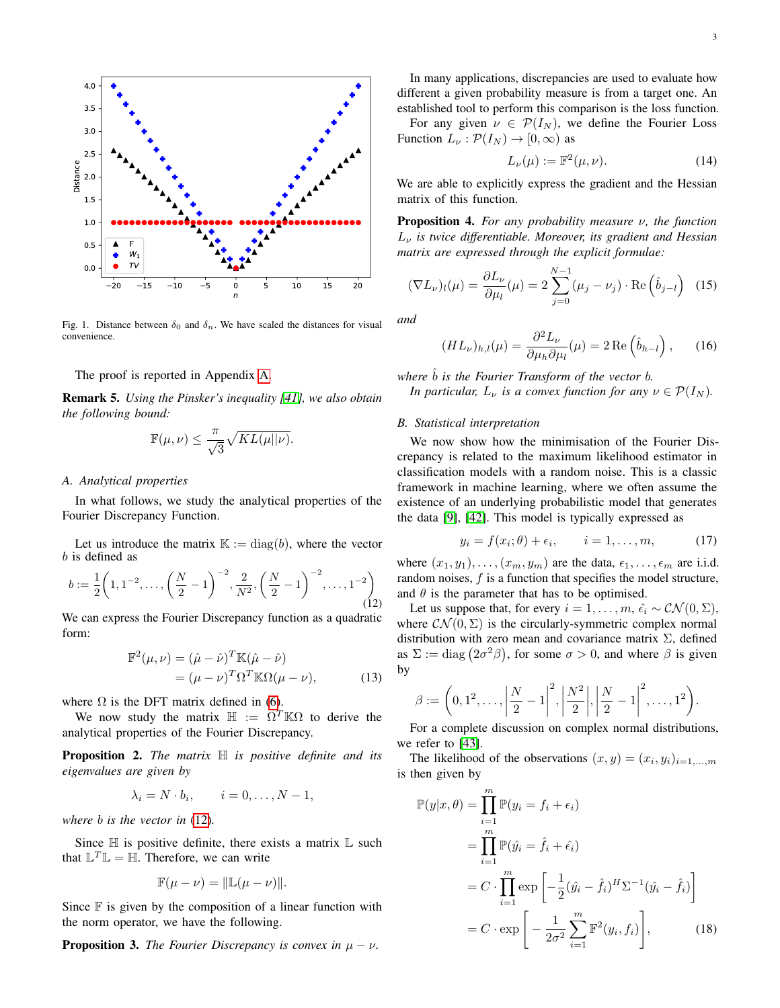

<span id="page-2-0"></span>Fig. 1. Distance between  $\delta_0$  and  $\delta_n$ . We have scaled the distances for visual convenience.

#### The proof is reported in Appendix [A.](#page-7-0)

Remark 5. *Using the Pinsker's inequality [\[41\]](#page-6-30), we also obtain the following bound:*

$$
\mathbb{F}(\mu,\nu) \leq \frac{\pi}{\sqrt{3}}\sqrt{KL(\mu||\nu)}.
$$

### *A. Analytical properties*

In what follows, we study the analytical properties of the Fourier Discrepancy Function.

Let us introduce the matrix  $\mathbb{K} := \text{diag}(b)$ , where the vector b is defined as

<span id="page-2-1"></span>
$$
b := \frac{1}{2} \left( 1, 1^{-2}, \dots, \left( \frac{N}{2} - 1 \right)^{-2}, \frac{2}{N^2}, \left( \frac{N}{2} - 1 \right)^{-2}, \dots, 1^{-2} \right)
$$
\n(12)

We can express the Fourier Discrepancy function as a quadratic form:

$$
\mathbb{F}^2(\mu, \nu) = (\hat{\mu} - \hat{\nu})^T \mathbb{K}(\hat{\mu} - \hat{\nu})
$$
  
= 
$$
(\mu - \nu)^T \Omega^T \mathbb{K} \Omega(\mu - \nu),
$$
 (13)

where  $\Omega$  is the DFT matrix defined in [\(6\)](#page-1-2).

We now study the matrix  $\mathbb{H} := \Omega^T \mathbb{K} \Omega$  to derive the analytical properties of the Fourier Discrepancy.

Proposition 2. *The matrix* H *is positive definite and its eigenvalues are given by*

$$
\lambda_i = N \cdot b_i, \qquad i = 0, \dots, N - 1,
$$

*where* b *is the vector in* [\(12\)](#page-2-1)*.*

Since  $\mathbb H$  is positive definite, there exists a matrix  $\mathbb L$  such that  $\mathbb{L}^T \mathbb{L} = \mathbb{H}$ . Therefore, we can write

$$
\mathbb{F}(\mu - \nu) = ||\mathbb{L}(\mu - \nu)||.
$$

Since  $\mathbb F$  is given by the composition of a linear function with the norm operator, we have the following.

**Proposition 3.** *The Fourier Discrepancy is convex in*  $\mu - \nu$ .

In many applications, discrepancies are used to evaluate how different a given probability measure is from a target one. An established tool to perform this comparison is the loss function.

For any given  $\nu \in \mathcal{P}(I_N)$ , we define the Fourier Loss Function  $L_{\nu} : \mathcal{P}(I_N) \to [0, \infty)$  as

$$
L_{\nu}(\mu) := \mathbb{F}^2(\mu, \nu). \tag{14}
$$

We are able to explicitly express the gradient and the Hessian matrix of this function.

Proposition 4. *For any probability measure* ν*, the function* L<sup>ν</sup> *is twice differentiable. Moreover, its gradient and Hessian matrix are expressed through the explicit formulae:*

$$
(\nabla L_{\nu})_l(\mu) = \frac{\partial L_{\nu}}{\partial \mu_l}(\mu) = 2 \sum_{j=0}^{N-1} (\mu_j - \nu_j) \cdot \text{Re}\left(\hat{b}_{j-l}\right) \tag{15}
$$

*and*

$$
(HL_{\nu})_{h,l}(\mu) = \frac{\partial^2 L_{\nu}}{\partial \mu_h \partial \mu_l}(\mu) = 2 \operatorname{Re} \left( \hat{b}_{h-l} \right), \qquad (16)
$$

*where*  $\hat{b}$  *is the Fourier Transform of the vector b.* 

*In particular,*  $L_{\nu}$  *is a convex function for any*  $\nu \in \mathcal{P}(I_N)$ *.* 

#### *B. Statistical interpretation*

We now show how the minimisation of the Fourier Discrepancy is related to the maximum likelihood estimator in classification models with a random noise. This is a classic framework in machine learning, where we often assume the existence of an underlying probabilistic model that generates the data [\[9\]](#page-5-8), [\[42\]](#page-6-31). This model is typically expressed as

<span id="page-2-3"></span>
$$
y_i = f(x_i; \theta) + \epsilon_i, \qquad i = 1, \dots, m,
$$
 (17)

where  $(x_1, y_1), \ldots, (x_m, y_m)$  are the data,  $\epsilon_1, \ldots, \epsilon_m$  are i.i.d. random noises,  $f$  is a function that specifies the model structure, and  $\theta$  is the parameter that has to be optimised.

Let us suppose that, for every  $i = 1, \ldots, m$ ,  $\hat{\epsilon}_i \sim \mathcal{CN}(0, \Sigma)$ , where  $\mathcal{CN}(0,\Sigma)$  is the circularly-symmetric complex normal distribution with zero mean and covariance matrix  $\Sigma$ , defined as  $\Sigma := \text{diag} (2\sigma^2 \beta)$ , for some  $\sigma > 0$ , and where  $\beta$  is given by

$$
\beta := \left(0, 1^2, \ldots, \left|\frac{N}{2} - 1\right|^2, \left|\frac{N^2}{2}\right|, \left|\frac{N}{2} - 1\right|^2, \ldots, 1^2\right).
$$

For a complete discussion on complex normal distributions, we refer to [\[43\]](#page-6-32).

The likelihood of the observations  $(x, y) = (x_i, y_i)_{i=1,\dots,m}$ is then given by

<span id="page-2-2"></span>
$$
\mathbb{P}(y|x,\theta) = \prod_{i=1}^{m} \mathbb{P}(y_i = f_i + \epsilon_i)
$$
  
\n
$$
= \prod_{i=1}^{m} \mathbb{P}(\hat{y}_i = \hat{f}_i + \hat{\epsilon}_i)
$$
  
\n
$$
= C \cdot \prod_{i=1}^{m} \exp\left[-\frac{1}{2}(\hat{y}_i - \hat{f}_i)^H \Sigma^{-1}(\hat{y}_i - \hat{f}_i)\right]
$$
  
\n
$$
= C \cdot \exp\left[-\frac{1}{2\sigma^2} \sum_{i=1}^{m} \mathbb{F}^2(y_i, f_i)\right],
$$
(18)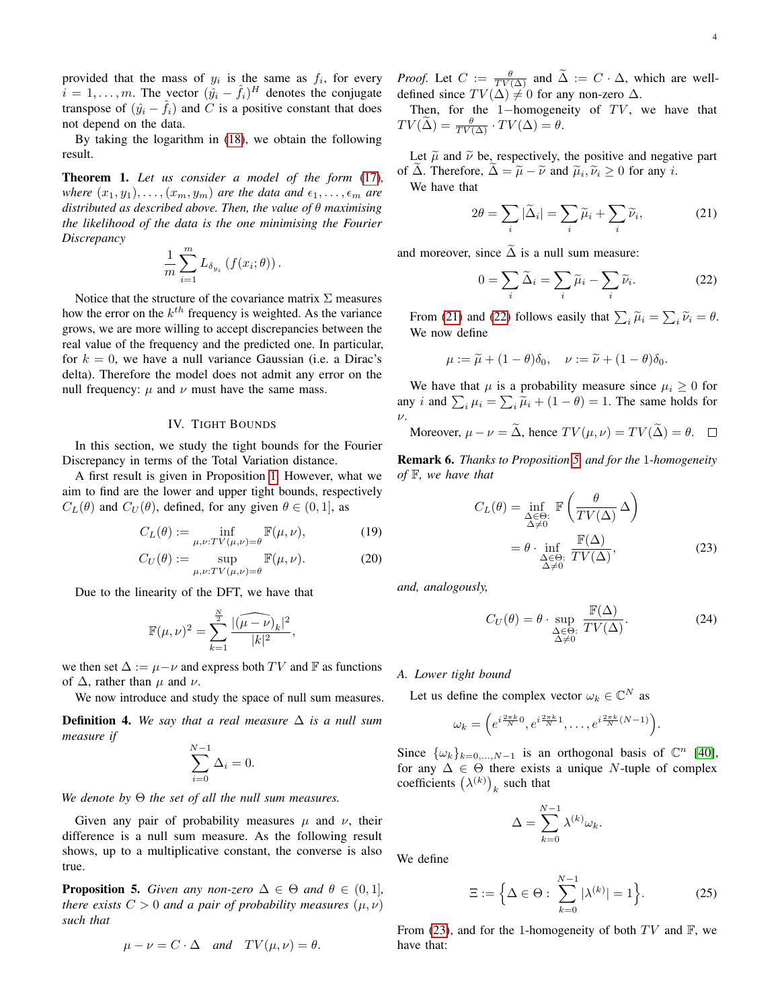provided that the mass of  $y_i$  is the same as  $f_i$ , for every  $\hat{i} = 1, \ldots, m$ . The vector  $(\hat{y}_i - \hat{f}_i)^H$  denotes the conjugate transpose of  $(\hat{y}_i - \hat{f}_i)$  and C is a positive constant that does not depend on the data.

By taking the logarithm in [\(18\)](#page-2-2), we obtain the following result.

Theorem 1. *Let us consider a model of the form* [\(17\)](#page-2-3)*, where*  $(x_1, y_1), \ldots, (x_m, y_m)$  *are the data and*  $\epsilon_1, \ldots, \epsilon_m$  *are distributed as described above. Then, the value of* θ *maximising the likelihood of the data is the one minimising the Fourier Discrepancy*

$$
\frac{1}{m}\sum_{i=1}^m L_{\delta_{y_i}}\left(f(x_i; \theta)\right).
$$

Notice that the structure of the covariance matrix  $\Sigma$  measures how the error on the  $k^{th}$  frequency is weighted. As the variance grows, we are more willing to accept discrepancies between the real value of the frequency and the predicted one. In particular, for  $k = 0$ , we have a null variance Gaussian (i.e. a Dirac's delta). Therefore the model does not admit any error on the null frequency:  $\mu$  and  $\nu$  must have the same mass.

#### IV. TIGHT BOUNDS

<span id="page-3-0"></span>In this section, we study the tight bounds for the Fourier Discrepancy in terms of the Total Variation distance.

A first result is given in Proposition [1.](#page-1-3) However, what we aim to find are the lower and upper tight bounds, respectively  $C_L(\theta)$  and  $C_U(\theta)$ , defined, for any given  $\theta \in (0,1]$ , as

$$
C_L(\theta) := \inf_{\mu,\nu: TV(\mu,\nu) = \theta} \mathbb{F}(\mu,\nu),\tag{19}
$$

$$
C_U(\theta) := \sup_{\mu,\nu: TV(\mu,\nu) = \theta} \mathbb{F}(\mu,\nu).
$$
 (20)

Due to the linearity of the DFT, we have that

$$
\mathbb{F}(\mu,\nu)^2 = \sum_{k=1}^{\frac{N}{2}} \frac{|(\widehat{\mu-\nu})_k|^2}{|k|^2},
$$

we then set  $\Delta := \mu - \nu$  and express both TV and F as functions of  $\Delta$ , rather than  $\mu$  and  $\nu$ .

We now introduce and study the space of null sum measures.

Definition 4. *We say that a real measure* ∆ *is a null sum measure if*

$$
\sum_{i=0}^{N-1} \Delta_i = 0.
$$

*We denote by* Θ *the set of all the null sum measures.*

Given any pair of probability measures  $\mu$  and  $\nu$ , their difference is a null sum measure. As the following result shows, up to a multiplicative constant, the converse is also true.

<span id="page-3-3"></span>**Proposition 5.** *Given any non-zero*  $\Delta \in \Theta$  *and*  $\theta \in (0,1]$ *, there exists*  $C > 0$  *and a pair of probability measures*  $(\mu, \nu)$ *such that*

$$
\mu - \nu = C \cdot \Delta
$$
 and  $TV(\mu, \nu) = \theta$ .

*Proof.* Let  $C := \frac{\theta}{TV(\Delta)}$  and  $\tilde{\Delta} := C \cdot \Delta$ , which are welldefined since  $TV(\Delta) \neq 0$  for any non-zero  $\Delta$ .

Then, for the 1-homogeneity of  $TV$ , we have that  $TV(\widetilde{\Delta}) = \frac{\theta}{TV(\Delta)} \cdot TV(\Delta) = \theta.$ 

Let  $\tilde{\mu}$  and  $\tilde{\nu}$  be, respectively, the positive and negative part of  $\Delta$ . Therefore,  $\Delta = \tilde{\mu} - \tilde{\nu}$  and  $\tilde{\mu}_i, \tilde{\nu}_i \ge 0$  for any *i*.<br>We have that We have that

<span id="page-3-1"></span>
$$
2\theta = \sum_{i} |\tilde{\Delta}_i| = \sum_{i} \tilde{\mu}_i + \sum_{i} \tilde{\nu}_i,
$$
 (21)

and moreover, since  $\tilde{\Delta}$  is a null sum measure:

<span id="page-3-2"></span>
$$
0 = \sum_{i} \widetilde{\Delta}_{i} = \sum_{i} \widetilde{\mu}_{i} - \sum_{i} \widetilde{\nu}_{i}.
$$
 (22)

From [\(21\)](#page-3-1) and [\(22\)](#page-3-2) follows easily that  $\sum_i \tilde{\mu}_i = \sum_i \tilde{\nu}_i = \theta$ . We now define

$$
\mu := \widetilde{\mu} + (1 - \theta)\delta_0, \quad \nu := \widetilde{\nu} + (1 - \theta)\delta_0.
$$

We have that  $\mu$  is a probability measure since  $\mu_i \geq 0$  for any *i* and  $\sum_i \mu_i = \sum_i \widetilde{\mu}_i + (1 - \theta) = 1$ . The same holds for  $\nu$ .

Moreover, 
$$
\mu - \nu = \Delta
$$
, hence  $TV(\mu, \nu) = TV(\Delta) = \theta$ .  $\square$ 

Remark 6. *Thanks to Proposition [5,](#page-3-3) and for the* 1*-homogeneity of* F*, we have that*

$$
C_L(\theta) = \inf_{\substack{\Delta \in \Theta:\\ \Delta \neq 0}} \mathbb{F}\left(\frac{\theta}{TV(\Delta)} \Delta\right)
$$

$$
= \theta \cdot \inf_{\substack{\Delta \in \Theta:\\ \Delta \neq 0}} \frac{\mathbb{F}(\Delta)}{TV(\Delta)},
$$
(23)

*and, analogously,*

<span id="page-3-4"></span>
$$
C_U(\theta) = \theta \cdot \sup_{\substack{\Delta \in \Theta:\\ \Delta \neq 0}} \frac{\mathbb{F}(\Delta)}{TV(\Delta)}.
$$
 (24)

*A. Lower tight bound*

Let us define the complex vector  $\omega_k \in \mathbb{C}^N$  as

$$
\omega_k = \left(e^{i\frac{2\pi k}{N}0}, e^{i\frac{2\pi k}{N}1}, \dots, e^{i\frac{2\pi k}{N}(N-1)}\right).
$$

Since  $\{\omega_k\}_{k=0,\dots,N-1}$  is an orthogonal basis of  $\mathbb{C}^n$  [\[40\]](#page-6-29), for any  $\Delta \in \Theta$  there exists a unique N-tuple of complex coefficients  $(\lambda^{(k)})_k$  such that

$$
\Delta = \sum_{k=0}^{N-1} \lambda^{(k)} \omega_k.
$$

We define

<span id="page-3-5"></span>
$$
\Xi := \left\{ \Delta \in \Theta : \sum_{k=0}^{N-1} |\lambda^{(k)}| = 1 \right\}.
$$
 (25)

From [\(23\)](#page-3-4), and for the 1-homogeneity of both  $TV$  and  $\mathbb{F}$ , we have that: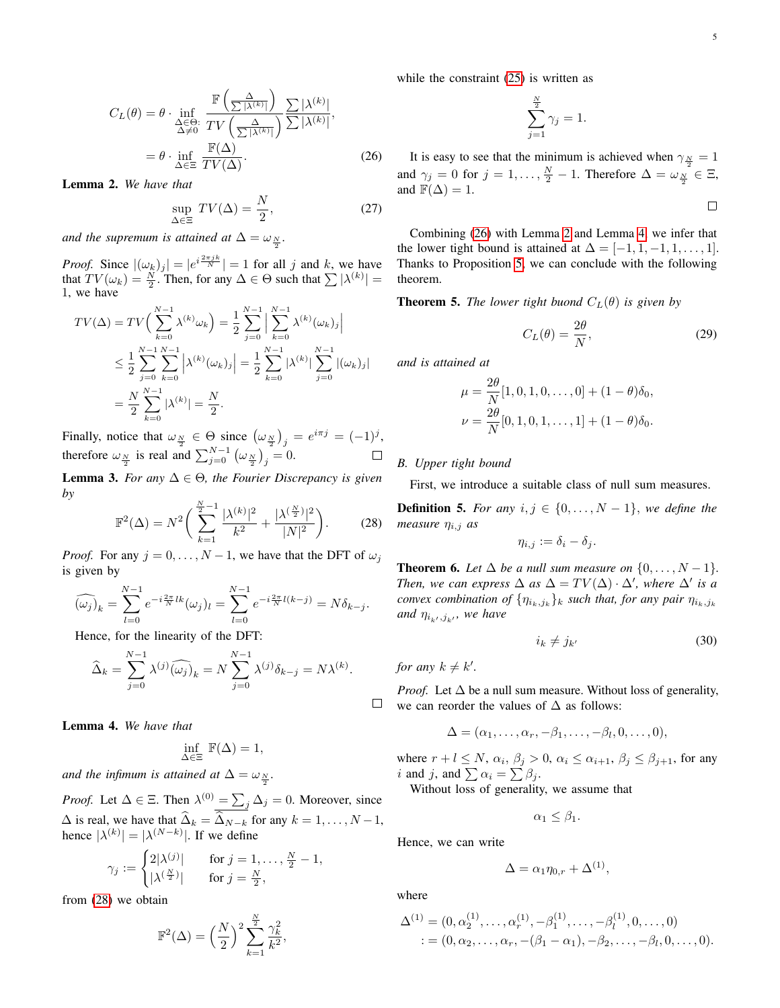$$
C_{L}(\theta) = \theta \cdot \inf_{\substack{\Delta \in \Theta:\\ \Delta \neq 0}} \frac{\mathbb{F}\left(\frac{\Delta}{\sum |\lambda^{(k)}|}\right)}{TV\left(\frac{\Delta}{\sum |\lambda^{(k)}|}\right)} \frac{\sum |\lambda^{(k)}|}{\sum |\lambda^{(k)}|},
$$

$$
= \theta \cdot \inf_{\Delta \in \Xi} \frac{\mathbb{F}(\Delta)}{TV(\Delta)}.
$$
(26)

<span id="page-4-2"></span>Lemma 2. *We have that*

$$
\sup_{\Delta \in \Xi} TV(\Delta) = \frac{N}{2},\tag{27}
$$

and the supremum is attained at  $\Delta = \omega_{\frac{N}{2}}$ .

*Proof.* Since  $|(\omega_k)_j| = |e^{i\frac{2\pi jk}{N}}| = 1$  for all j and k, we have that  $TV(\omega_k) = \frac{N}{2}$ . Then, for any  $\Delta \in \Theta$  such that  $\sum |\lambda^{(k)}| =$ 1, we have

$$
TV(\Delta) = TV\left(\sum_{k=0}^{N-1} \lambda^{(k)} \omega_k\right) = \frac{1}{2} \sum_{j=0}^{N-1} \left| \sum_{k=0}^{N-1} \lambda^{(k)} (\omega_k)_j \right|
$$
  

$$
\leq \frac{1}{2} \sum_{j=0}^{N-1} \sum_{k=0}^{N-1} \left| \lambda^{(k)} (\omega_k)_j \right| = \frac{1}{2} \sum_{k=0}^{N-1} \left| \lambda^{(k)} \right| \sum_{j=0}^{N-1} |(\omega_k)_j|
$$
  

$$
= \frac{N}{2} \sum_{k=0}^{N-1} \left| \lambda^{(k)} \right| = \frac{N}{2}.
$$

Finally, notice that  $\omega_{\frac{N}{2}} \in \Theta$  since  $(\omega_{\frac{N}{2}})_j = e^{i\pi j} = (-1)^j$ , therefore  $\omega_{\frac{N}{2}}$  is real and  $\sum_{j=0}^{N-1} (\omega_{\frac{N}{2}})_j = 0$ .

<span id="page-4-0"></span>**Lemma 3.** *For any*  $\Delta \in \Theta$ *, the Fourier Discrepancy is given by*

$$
\mathbb{F}^{2}(\Delta) = N^{2} \bigg( \sum_{k=1}^{\frac{N}{2}-1} \frac{|\lambda^{(k)}|^{2}}{k^{2}} + \frac{|\lambda^{(\frac{N}{2})}|^{2}}{|N|^{2}} \bigg). \tag{28}
$$

*Proof.* For any  $j = 0, \ldots, N - 1$ , we have that the DFT of  $\omega_j$ is given by

$$
\widehat{(\omega_j)}_k = \sum_{l=0}^{N-1} e^{-i\frac{2\pi}{N}lk} (\omega_j)_l = \sum_{l=0}^{N-1} e^{-i\frac{2\pi}{N}l(k-j)} = N\delta_{k-j}.
$$

Hence, for the linearity of the DFT:

$$
\widehat{\Delta}_k = \sum_{j=0}^{N-1} \lambda^{(j)} \widehat{(\omega_j)}_k = N \sum_{j=0}^{N-1} \lambda^{(j)} \delta_{k-j} = N \lambda^{(k)}.
$$

<span id="page-4-3"></span>Lemma 4. *We have that*

$$
\inf_{\Delta \in \Xi} \ \mathbb{F}(\Delta) = 1,
$$

*and the infimum is attained at*  $\Delta = \omega_{\frac{N}{2}}$ *.* 

*Proof.* Let  $\Delta \in \Xi$ . Then  $\lambda^{(0)} = \sum_j \Delta_j = 0$ . Moreover, since  $\Delta$  is real, we have that  $\widehat{\Delta}_k = \widehat{\Delta}_{N-k}$  for any  $k = 1, ..., N - 1$ , hence  $|\lambda^{(k)}| = |\lambda^{(N-k)}|$ . If we define

$$
\gamma_j := \begin{cases} 2|\lambda^{(j)}| & \text{for } j = 1, \dots, \frac{N}{2} - 1, \\ |\lambda^{(\frac{N}{2})}| & \text{for } j = \frac{N}{2}, \end{cases}
$$

from [\(28\)](#page-4-0) we obtain

$$
\mathbb{F}^2(\Delta) = \left(\frac{N}{2}\right)^2 \sum_{k=1}^{\frac{N}{2}} \frac{\gamma_k^2}{k^2},
$$

while the constraint  $(25)$  is written as

$$
\sum_{j=1}^{\frac{N}{2}} \gamma_j = 1.
$$

<span id="page-4-1"></span>It is easy to see that the minimum is achieved when  $\gamma_{\frac{N}{2}} = 1$ and  $\gamma_j = 0$  for  $j = 1, ..., \frac{N}{2} - 1$ . Therefore  $\Delta = \omega_{\frac{N}{2}}^{\frac{N}{2}} \in \Xi$ , and  $\mathbb{F}(\Delta) = 1$ .  $\Box$ 

Combining [\(26\)](#page-4-1) with Lemma [2](#page-4-2) and Lemma [4,](#page-4-3) we infer that the lower tight bound is attained at  $\Delta = [-1, 1, -1, 1, \dots, 1].$ Thanks to Proposition [5,](#page-3-3) we can conclude with the following theorem.

**Theorem 5.** *The lower tight buond*  $C_L(\theta)$  *is given by* 

$$
C_L(\theta) = \frac{2\theta}{N},\tag{29}
$$

*and is attained at*

$$
\mu = \frac{2\theta}{N}[1, 0, 1, 0, \dots, 0] + (1 - \theta)\delta_0,
$$
  

$$
\nu = \frac{2\theta}{N}[0, 1, 0, 1, \dots, 1] + (1 - \theta)\delta_0.
$$

## *B. Upper tight bound*

First, we introduce a suitable class of null sum measures.

**Definition 5.** For any  $i, j \in \{0, \ldots, N-1\}$ , we define the *measure* ηi,j *as*

$$
\eta_{i,j} := \delta_i - \delta_j.
$$

<span id="page-4-5"></span>**Theorem 6.** Let  $\Delta$  be a null sum measure on  $\{0, \ldots, N-1\}$ . *Then, we can express*  $\Delta$  *as*  $\Delta = TV(\Delta) \cdot \Delta'$ *, where*  $\Delta'$  *is a convex combination of*  $\{\eta_{i_k,j_k}\}_k$  *such that, for any pair*  $\eta_{i_k,j_k}$ and  $\eta_{i_{k'},j_{k'}},$  we have

<span id="page-4-4"></span>
$$
i_k \neq j_{k'} \tag{30}
$$

*for any*  $k \neq k'$ .

*Proof.* Let  $\Delta$  be a null sum measure. Without loss of generality,  $\Box$  we can reorder the values of  $\Delta$  as follows:

$$
\Delta=(\alpha_1,\ldots,\alpha_r,-\beta_1,\ldots,-\beta_l,0,\ldots,0),
$$

where  $r + l \le N$ ,  $\alpha_i$ ,  $\beta_j > 0$ ,  $\alpha_i \le \alpha_{i+1}$ ,  $\beta_j \le \beta_{j+1}$ , for any *i* and *j*, and  $\sum \alpha_i = \sum \beta_j$ .

Without loss of generality, we assume that

$$
\alpha_1 \leq \beta_1.
$$

Hence, we can write

$$
\Delta = \alpha_1 \eta_{0,r} + \Delta^{(1)}
$$

,

where

$$
\Delta^{(1)} = (0, \alpha_2^{(1)}, \dots, \alpha_r^{(1)}, -\beta_1^{(1)}, \dots, -\beta_l^{(1)}, 0, \dots, 0)
$$
  
 :=  $(0, \alpha_2, \dots, \alpha_r, -(\beta_1 - \alpha_1), -\beta_2, \dots, -\beta_l, 0, \dots, 0).$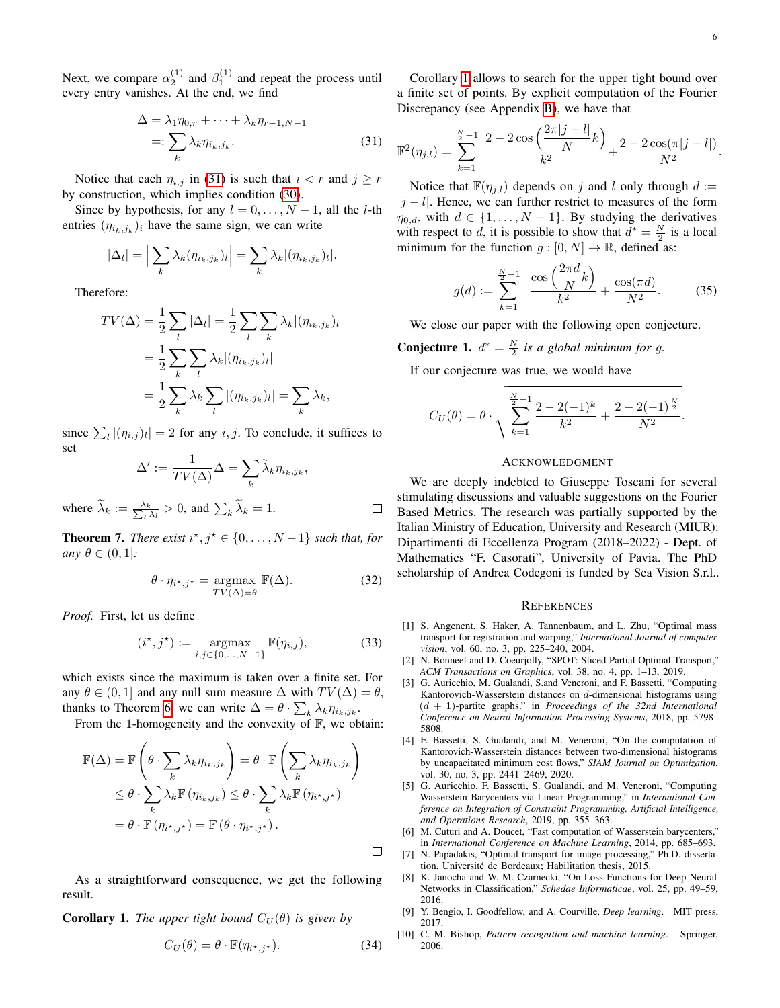Next, we compare  $\alpha_2^{(1)}$  and  $\beta_1^{(1)}$  and repeat the process until every entry vanishes. At the end, we find

$$
\Delta = \lambda_1 \eta_{0,r} + \dots + \lambda_k \eta_{r-1,N-1}
$$
  
=: 
$$
\sum_k \lambda_k \eta_{i_k,j_k}.
$$
 (31)

Notice that each  $\eta_{i,j}$  in [\(31\)](#page-5-10) is such that  $i < r$  and  $j \geq r$ by construction, which implies condition [\(30\)](#page-4-4).

Since by hypothesis, for any  $l = 0, \ldots, N - 1$ , all the *l*-th entries  $(\eta_{i_k,j_k})_i$  have the same sign, we can write

$$
|\Delta_l| = \left| \sum_k \lambda_k(\eta_{i_k,j_k})_l \right| = \sum_k \lambda_k |(\eta_{i_k,j_k})_l|.
$$

Therefore:

$$
TV(\Delta) = \frac{1}{2} \sum_{l} |\Delta_l| = \frac{1}{2} \sum_{l} \sum_{k} \lambda_k |(\eta_{i_k, j_k})_l|
$$
  

$$
= \frac{1}{2} \sum_{k} \sum_{l} \lambda_k |(\eta_{i_k, j_k})_l|
$$
  

$$
= \frac{1}{2} \sum_{k} \lambda_k \sum_{l} |(\eta_{i_k, j_k})_l| = \sum_{k} \lambda_k,
$$

since  $\sum_{l} |(\eta_{i,j})_l| = 2$  for any i, j. To conclude, it suffices to set

$$
\Delta' := \frac{1}{TV(\Delta)} \Delta = \sum_{k} \widetilde{\lambda}_{k} \eta_{i_k, j_k},
$$

where  $\widetilde{\lambda}_k := \frac{\lambda_k}{\sum_l \lambda_l} > 0$ , and  $\sum_k \widetilde{\lambda}_k = 1$ .  $\Box$ 

**Theorem 7.** *There exist*  $i^*, j^* \in \{0, \ldots, N-1\}$  *such that, for any*  $\theta \in (0, 1]$ *:* 

$$
\theta \cdot \eta_{i^*,j^*} = \underset{TV(\Delta) = \theta}{\operatorname{argmax}} \mathbb{F}(\Delta). \tag{32}
$$

*Proof.* First, let us define

$$
(i^*, j^*) := \underset{i,j \in \{0, \ldots, N-1\}}{\operatorname{argmax}} \mathbb{F}(\eta_{i,j}),\tag{33}
$$

which exists since the maximum is taken over a finite set. For any  $\theta \in (0, 1]$  and any null sum measure  $\Delta$  with  $TV(\Delta) = \theta$ , thanks to Theorem [6,](#page-4-5) we can write  $\Delta = \theta \cdot \sum_{k} \lambda_k \eta_{i_k, j_k}$ .

From the 1-homogeneity and the convexity of  $F$ , we obtain:

$$
\mathbb{F}(\Delta) = \mathbb{F}\left(\theta \cdot \sum_{k} \lambda_{k} \eta_{i_{k},j_{k}}\right) = \theta \cdot \mathbb{F}\left(\sum_{k} \lambda_{k} \eta_{i_{k},j_{k}}\right)
$$
  
\n
$$
\leq \theta \cdot \sum_{k} \lambda_{k} \mathbb{F}\left(\eta_{i_{k},j_{k}}\right) \leq \theta \cdot \sum_{k} \lambda_{k} \mathbb{F}\left(\eta_{i^{\star},j^{\star}}\right)
$$
  
\n
$$
= \theta \cdot \mathbb{F}\left(\eta_{i^{\star},j^{\star}}\right) = \mathbb{F}\left(\theta \cdot \eta_{i^{\star},j^{\star}}\right).
$$

As a straightforward consequence, we get the following result.

<span id="page-5-11"></span>**Corollary 1.** *The upper tight bound*  $C_U(\theta)$  *is given by* 

$$
C_U(\theta) = \theta \cdot \mathbb{F}(\eta_{i^*,j^*}).
$$
\n(34)

 $\Box$ 

Corollary [1](#page-5-11) allows to search for the upper tight bound over a finite set of points. By explicit computation of the Fourier Discrepancy (see Appendix [B\)](#page-7-1), we have that

<span id="page-5-10"></span>
$$
\mathbb{F}^{2}(\eta_{j,l}) = \sum_{k=1}^{\frac{N}{2}-1} \frac{2 - 2\cos\left(\frac{2\pi|j-l|}{N}k\right)}{k^2} + \frac{2 - 2\cos(\pi|j-l|)}{N^2}.
$$

Notice that  $\mathbb{F}(\eta_{j,l})$  depends on j and l only through  $d :=$  $|j - l|$ . Hence, we can further restrict to measures of the form  $\eta_{0,d}$ , with  $d \in \{1,\ldots,N-1\}$ . By studying the derivatives with respect to d, it is possible to show that  $d^* = \frac{N}{2}$  is a local minimum for the function  $g : [0, N] \to \mathbb{R}$ , defined as:

$$
g(d) := \sum_{k=1}^{\frac{N}{2}-1} \frac{\cos\left(\frac{2\pi d}{N}k\right)}{k^2} + \frac{\cos(\pi d)}{N^2}.
$$
 (35)

We close our paper with the following open conjecture.

**Conjecture 1.**  $d^* = \frac{N}{2}$  is a global minimum for g.

If our conjecture was true, we would have

$$
C_U(\theta) = \theta \cdot \sqrt{\sum_{k=1}^{\frac{N}{2}-1} \frac{2-2(-1)^k}{k^2} + \frac{2-2(-1)^{\frac{N}{2}}}{N^2}}.
$$

### ACKNOWLEDGMENT

We are deeply indebted to Giuseppe Toscani for several stimulating discussions and valuable suggestions on the Fourier Based Metrics. The research was partially supported by the Italian Ministry of Education, University and Research (MIUR): Dipartimenti di Eccellenza Program (2018–2022) - Dept. of Mathematics "F. Casorati", University of Pavia. The PhD scholarship of Andrea Codegoni is funded by Sea Vision S.r.l..

#### **REFERENCES**

- <span id="page-5-0"></span>[1] S. Angenent, S. Haker, A. Tannenbaum, and L. Zhu, "Optimal mass transport for registration and warping," *International Journal of computer vision*, vol. 60, no. 3, pp. 225–240, 2004.
- <span id="page-5-1"></span>[2] N. Bonneel and D. Coeurjolly, "SPOT: Sliced Partial Optimal Transport," *ACM Transactions on Graphics*, vol. 38, no. 4, pp. 1–13, 2019.
- <span id="page-5-2"></span>[3] G. Auricchio, M. Gualandi, S.and Veneroni, and F. Bassetti, "Computing Kantorovich-Wasserstein distances on  $d$ -dimensional histograms using (d + 1)-partite graphs." in *Proceedings of the 32nd International Conference on Neural Information Processing Systems*, 2018, pp. 5798– 5808.
- <span id="page-5-3"></span>[4] F. Bassetti, S. Gualandi, and M. Veneroni, "On the computation of Kantorovich-Wasserstein distances between two-dimensional histograms by uncapacitated minimum cost flows," *SIAM Journal on Optimization*, vol. 30, no. 3, pp. 2441–2469, 2020.
- <span id="page-5-4"></span>[5] G. Auricchio, F. Bassetti, S. Gualandi, and M. Veneroni, "Computing Wasserstein Barycenters via Linear Programming," in *International Conference on Integration of Constraint Programming, Artificial Intelligence, and Operations Research*, 2019, pp. 355–363.
- <span id="page-5-5"></span>[6] M. Cuturi and A. Doucet, "Fast computation of Wasserstein barycenters," in *International Conference on Machine Learning*, 2014, pp. 685–693.
- <span id="page-5-6"></span>[7] N. Papadakis, "Optimal transport for image processing," Ph.D. dissertation, Université de Bordeaux; Habilitation thesis, 2015.
- <span id="page-5-7"></span>[8] K. Janocha and W. M. Czarnecki, "On Loss Functions for Deep Neural Networks in Classification," *Schedae Informaticae*, vol. 25, pp. 49–59, 2016.
- <span id="page-5-8"></span>[9] Y. Bengio, I. Goodfellow, and A. Courville, *Deep learning*. MIT press, 2017.
- <span id="page-5-9"></span>[10] C. M. Bishop, *Pattern recognition and machine learning*. Springer, 2006.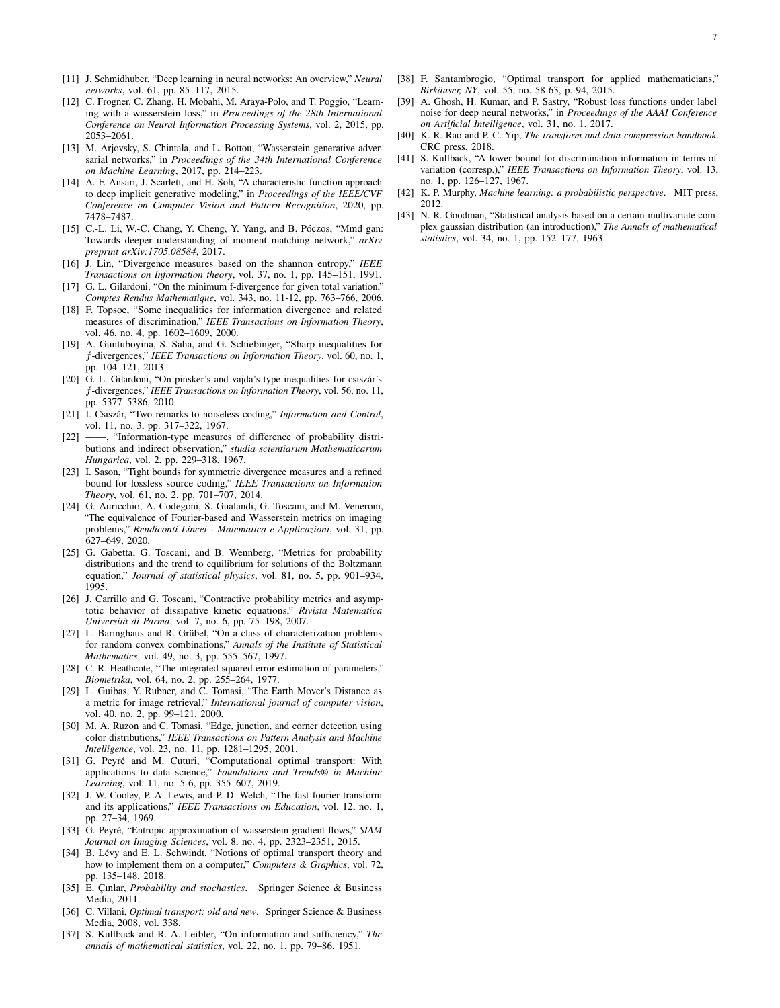- <span id="page-6-0"></span>[11] J. Schmidhuber, "Deep learning in neural networks: An overview," *Neural networks*, vol. 61, pp. 85–117, 2015.
- <span id="page-6-1"></span>[12] C. Frogner, C. Zhang, H. Mobahi, M. Araya-Polo, and T. Poggio, "Learning with a wasserstein loss," in *Proceedings of the 28th International Conference on Neural Information Processing Systems*, vol. 2, 2015, pp. 2053–2061.
- <span id="page-6-2"></span>[13] M. Arjovsky, S. Chintala, and L. Bottou, "Wasserstein generative adversarial networks," in *Proceedings of the 34th International Conference on Machine Learning*, 2017, pp. 214–223.
- <span id="page-6-3"></span>[14] A. F. Ansari, J. Scarlett, and H. Soh, "A characteristic function approach to deep implicit generative modeling," in *Proceedings of the IEEE/CVF Conference on Computer Vision and Pattern Recognition*, 2020, pp. 7478–7487.
- <span id="page-6-4"></span>[15] C.-L. Li, W.-C. Chang, Y. Cheng, Y. Yang, and B. Póczos, "Mmd gan: Towards deeper understanding of moment matching network," *arXiv preprint arXiv:1705.08584*, 2017.
- <span id="page-6-5"></span>[16] J. Lin, "Divergence measures based on the shannon entropy," *IEEE Transactions on Information theory*, vol. 37, no. 1, pp. 145–151, 1991.
- <span id="page-6-6"></span>[17] G. L. Gilardoni, "On the minimum f-divergence for given total variation," *Comptes Rendus Mathematique*, vol. 343, no. 11-12, pp. 763–766, 2006.
- <span id="page-6-7"></span>[18] F. Topsoe, "Some inequalities for information divergence and related measures of discrimination," *IEEE Transactions on Information Theory*, vol. 46, no. 4, pp. 1602–1609, 2000.
- <span id="page-6-8"></span>[19] A. Guntuboyina, S. Saha, and G. Schiebinger, "Sharp inequalities for f-divergences," *IEEE Transactions on Information Theory*, vol. 60, no. 1, pp. 104–121, 2013.
- <span id="page-6-9"></span>[20] G. L. Gilardoni, "On pinsker's and vajda's type inequalities for csiszár's f-divergences," *IEEE Transactions on Information Theory*, vol. 56, no. 11, pp. 5377–5386, 2010.
- <span id="page-6-10"></span>[21] I. Csiszár, "Two remarks to noiseless coding," *Information and Control*, vol. 11, no. 3, pp. 317–322, 1967.
- <span id="page-6-11"></span>[22] ——, "Information-type measures of difference of probability distributions and indirect observation," *studia scientiarum Mathematicarum Hungarica*, vol. 2, pp. 229–318, 1967.
- <span id="page-6-12"></span>[23] I. Sason, "Tight bounds for symmetric divergence measures and a refined bound for lossless source coding," *IEEE Transactions on Information Theory*, vol. 61, no. 2, pp. 701–707, 2014.
- <span id="page-6-13"></span>[24] G. Auricchio, A. Codegoni, S. Gualandi, G. Toscani, and M. Veneroni, "The equivalence of Fourier-based and Wasserstein metrics on imaging problems," *Rendiconti Lincei - Matematica e Applicazioni*, vol. 31, pp. 627–649, 2020.
- <span id="page-6-14"></span>[25] G. Gabetta, G. Toscani, and B. Wennberg, "Metrics for probability distributions and the trend to equilibrium for solutions of the Boltzmann equation," *Journal of statistical physics*, vol. 81, no. 5, pp. 901–934, 1995.
- <span id="page-6-15"></span>[26] J. Carrillo and G. Toscani, "Contractive probability metrics and asymptotic behavior of dissipative kinetic equations," *Rivista Matematica Università di Parma*, vol. 7, no. 6, pp. 75–198, 2007.
- <span id="page-6-16"></span>[27] L. Baringhaus and R. Grübel, "On a class of characterization problems for random convex combinations," *Annals of the Institute of Statistical Mathematics*, vol. 49, no. 3, pp. 555–567, 1997.
- <span id="page-6-17"></span>[28] C. R. Heathcote, "The integrated squared error estimation of parameters," *Biometrika*, vol. 64, no. 2, pp. 255–264, 1977.
- <span id="page-6-18"></span>[29] L. Guibas, Y. Rubner, and C. Tomasi, "The Earth Mover's Distance as a metric for image retrieval," *International journal of computer vision*, vol. 40, no. 2, pp. 99–121, 2000.
- <span id="page-6-19"></span>[30] M. A. Ruzon and C. Tomasi, "Edge, junction, and corner detection using color distributions," *IEEE Transactions on Pattern Analysis and Machine Intelligence*, vol. 23, no. 11, pp. 1281–1295, 2001.
- <span id="page-6-20"></span>[31] G. Peyré and M. Cuturi, "Computational optimal transport: With applications to data science," *Foundations and Trends® in Machine Learning*, vol. 11, no. 5-6, pp. 355–607, 2019.
- <span id="page-6-21"></span>[32] J. W. Cooley, P. A. Lewis, and P. D. Welch, "The fast fourier transform and its applications," *IEEE Transactions on Education*, vol. 12, no. 1, pp. 27–34, 1969.
- <span id="page-6-22"></span>[33] G. Peyré, "Entropic approximation of wasserstein gradient flows," *SIAM Journal on Imaging Sciences*, vol. 8, no. 4, pp. 2323–2351, 2015.
- <span id="page-6-23"></span>[34] B. Lévy and E. L. Schwindt, "Notions of optimal transport theory and how to implement them on a computer," *Computers & Graphics*, vol. 72, pp. 135–148, 2018.
- <span id="page-6-24"></span>[35] E. Çınlar, *Probability and stochastics*. Springer Science & Business Media, 2011.
- <span id="page-6-25"></span>[36] C. Villani, *Optimal transport: old and new*. Springer Science & Business Media, 2008, vol. 338.
- <span id="page-6-26"></span>[37] S. Kullback and R. A. Leibler, "On information and sufficiency," *The annals of mathematical statistics*, vol. 22, no. 1, pp. 79–86, 1951.
- <span id="page-6-27"></span>[38] F. Santambrogio, "Optimal transport for applied mathematicians," *Birkäuser, NY*, vol. 55, no. 58-63, p. 94, 2015.
- <span id="page-6-28"></span>[39] A. Ghosh, H. Kumar, and P. Sastry, "Robust loss functions under label noise for deep neural networks," in *Proceedings of the AAAI Conference on Artificial Intelligence*, vol. 31, no. 1, 2017.
- <span id="page-6-29"></span>[40] K. R. Rao and P. C. Yip, *The transform and data compression handbook*. CRC press, 2018.
- <span id="page-6-30"></span>[41] S. Kullback, "A lower bound for discrimination information in terms of variation (corresp.)," *IEEE Transactions on Information Theory*, vol. 13, no. 1, pp. 126–127, 1967.
- <span id="page-6-31"></span>[42] K. P. Murphy, *Machine learning: a probabilistic perspective*. MIT press, 2012.
- <span id="page-6-32"></span>[43] N. R. Goodman, "Statistical analysis based on a certain multivariate complex gaussian distribution (an introduction)," *The Annals of mathematical statistics*, vol. 34, no. 1, pp. 152–177, 1963.